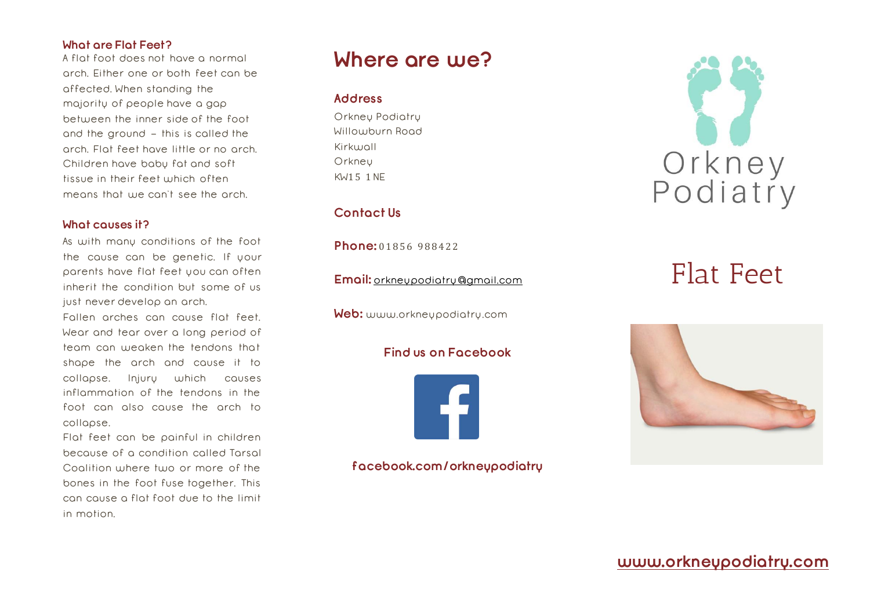### **What are Flat Feet?**

A flat foot does not have a normal arch. Either one or both feet can be affected. When standing the majority of people have a gap between the inner side of the foot and the ground – this is called the arch. Flat feet have little or no arch. Children have baby fat and soft tissue in their feet which often means that we can't see the arch.

#### **What causes it?**

As with many conditions of the foot the cause can be genetic. If your parents have flat feet you can often inherit the condition but some of us just never develop an arch.

Fallen arches can cause flat feet. Wear and tear over a long period of team can weaken the tendons that shape the arch and cause it to collapse. Injury which causes inflammation of the tendons in the foot can also cause the arch to collapse.

Flat feet can be painful in children because of a condition called Tarsal Coalition where two or more of the bones in the foot fuse together. This can cause a flat foot due to the limit in motion.

### **Where are we?**

### **Address**

Orkney Podiatry Willowburn Road Kirkwall Orkney KW1 5 1NE

### **Contact Us**

**Phone:** 01856 988422

**Email:** [orkneypodiatry@gmail.com](mailto:orkneypodiatry@gmail.com)

**Web:** www.orkneypodiatry.com

### **Find us on Facebook**



**facebook.com/orkneypodiatry**



## Flat Feet